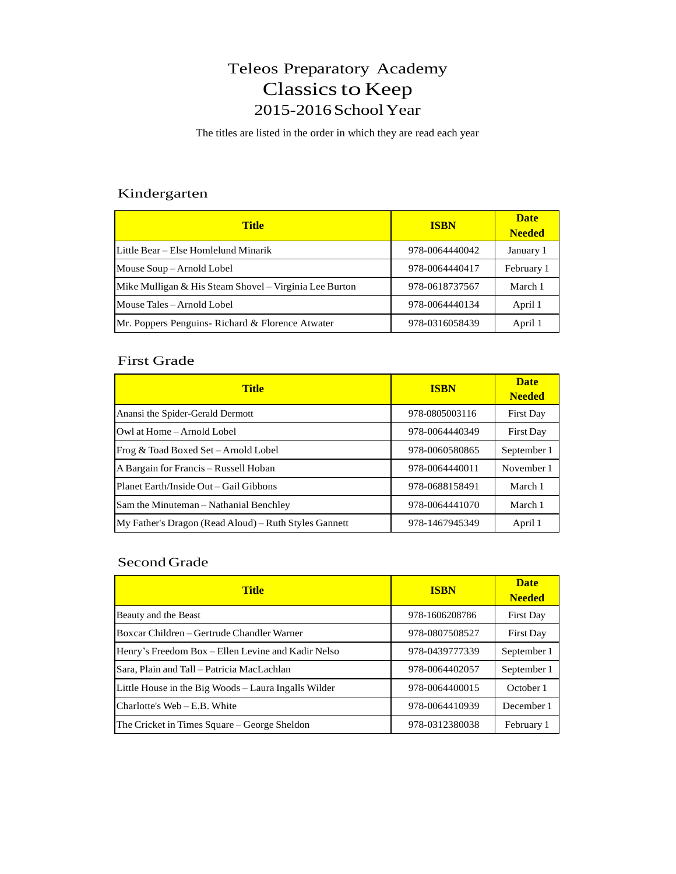# Teleos Preparatory Academy Classics to Keep 2015-2016SchoolYear

The titles are listed in the order in which they are read each year

### Kindergarten

| <b>Title</b>                                           | <b>ISBN</b>    | <b>Date</b><br><b>Needed</b> |
|--------------------------------------------------------|----------------|------------------------------|
| Little Bear – Else Homlelund Minarik                   | 978-0064440042 | January 1                    |
| Mouse Soup – Arnold Lobel                              | 978-0064440417 | February 1                   |
| Mike Mulligan & His Steam Shovel – Virginia Lee Burton | 978-0618737567 | March 1                      |
| Mouse Tales – Arnold Lobel                             | 978-0064440134 | April 1                      |
| Mr. Poppers Penguins- Richard & Florence Atwater       | 978-0316058439 | April 1                      |

#### First Grade

| <b>Title</b>                                          | <b>ISBN</b>    | <b>Date</b><br><b>Needed</b> |
|-------------------------------------------------------|----------------|------------------------------|
| Anansi the Spider-Gerald Dermott                      | 978-0805003116 | <b>First Day</b>             |
| Owl at Home – Arnold Lobel                            | 978-0064440349 | <b>First Day</b>             |
| Frog & Toad Boxed Set - Arnold Lobel                  | 978-0060580865 | September 1                  |
| A Bargain for Francis - Russell Hoban                 | 978-0064440011 | November 1                   |
| Planet Earth/Inside Out – Gail Gibbons                | 978-0688158491 | March 1                      |
| Sam the Minuteman – Nathanial Benchley                | 978-0064441070 | March 1                      |
| My Father's Dragon (Read Aloud) – Ruth Styles Gannett | 978-1467945349 | April 1                      |

## Second Grade

| <b>Title</b>                                         | <b>ISBN</b>    | <b>Date</b><br><b>Needed</b> |
|------------------------------------------------------|----------------|------------------------------|
| Beauty and the Beast                                 | 978-1606208786 | First Day                    |
| Boxcar Children – Gertrude Chandler Warner           | 978-0807508527 | <b>First Day</b>             |
| Henry's Freedom Box – Ellen Levine and Kadir Nelso   | 978-0439777339 | September 1                  |
| Sara, Plain and Tall – Patricia MacLachlan           | 978-0064402057 | September 1                  |
| Little House in the Big Woods – Laura Ingalls Wilder | 978-0064400015 | October 1                    |
| Charlotte's Web – E.B. White                         | 978-0064410939 | December 1                   |
| The Cricket in Times Square – George Sheldon         | 978-0312380038 | February 1                   |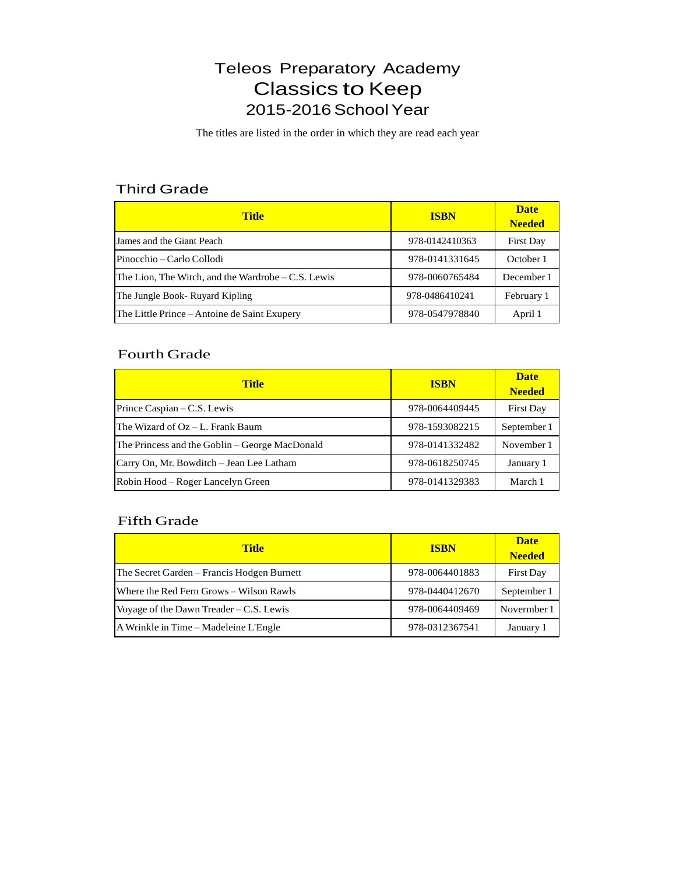# Teleos Preparatory Academy **Classics to Keep** 2015-2016 School Year

The titles are listed in the order in which they are read each year

### Third Grade

| <b>Title</b>                                        | <b>ISBN</b>    | <b>Date</b><br><b>Needed</b> |
|-----------------------------------------------------|----------------|------------------------------|
| James and the Giant Peach                           | 978-0142410363 | <b>First Day</b>             |
| Pinocchio – Carlo Collodi                           | 978-0141331645 | October 1                    |
| The Lion, The Witch, and the Wardrobe $-C.S.$ Lewis | 978-0060765484 | December 1                   |
| The Jungle Book- Ruyard Kipling                     | 978-0486410241 | February 1                   |
| The Little Prince – Antoine de Saint Exupery        | 978-0547978840 | April 1                      |

#### Fourth Grade

| <b>Title</b>                                   | <b>ISBN</b>    | <b>Date</b><br><b>Needed</b> |
|------------------------------------------------|----------------|------------------------------|
| Prince Caspian – C.S. Lewis                    | 978-0064409445 | <b>First Day</b>             |
| The Wizard of Oz – L. Frank Baum               | 978-1593082215 | September 1                  |
| The Princess and the Goblin – George MacDonald | 978-0141332482 | November 1                   |
| Carry On, Mr. Bowditch – Jean Lee Latham       | 978-0618250745 | January 1                    |
| Robin Hood – Roger Lancelyn Green              | 978-0141329383 | March 1                      |

#### Fifth Grade

| <b>Title</b>                               | <b>ISBN</b>    | <b>Date</b><br><b>Needed</b> |
|--------------------------------------------|----------------|------------------------------|
| The Secret Garden – Francis Hodgen Burnett | 978-0064401883 | <b>First Day</b>             |
| Where the Red Fern Grows – Wilson Rawls    | 978-0440412670 | September 1                  |
| Voyage of the Dawn Treader $-C.S.$ Lewis   | 978-0064409469 | Novermber 1                  |
| A Wrinkle in Time – Madeleine L'Engle      | 978-0312367541 | January 1                    |